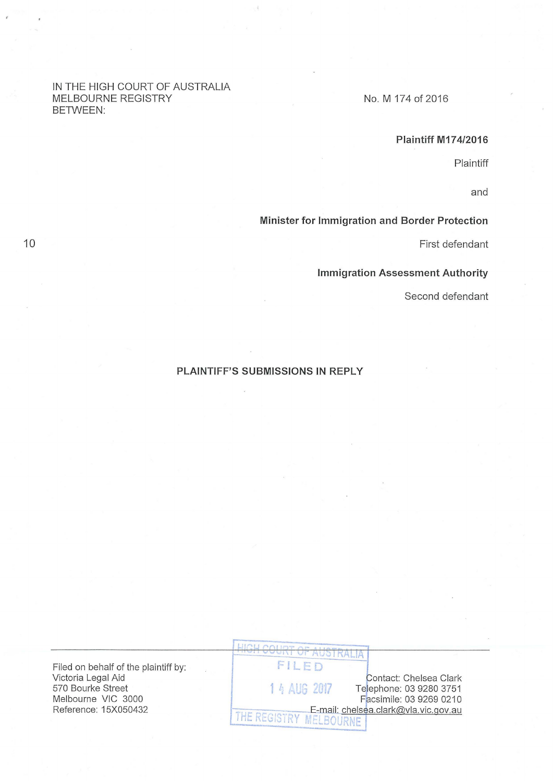#### IN THE HIGH COURT OF AUSTRALIA MELBOURNE REGISTRY BETWEEN:

No. M 174 of 2016

## **Plaintiff M174/2016**

Plaintiff

and

## **Minister for Immigration and Border Protection**

First defendant

**Immigration Assessment Authority** 

Second defendant

## **PLAINTIFF'S SUBMISSIONS IN REPLY**

Filed on behalf of the plaintiff by: Victoria Legal Aid 570 Bourke Street Melbourne VIC 3000 Reference: 15X050432

FILED Contact: Chelsea Clark 1 4 AUG 2017 Telephone: 03 9280 3751 Facsimile: 03 9269 0210 E-mail: chelsea.clark@vla.vic.gov.au THE REGISTRY MELBOURNE

AUSTRALIA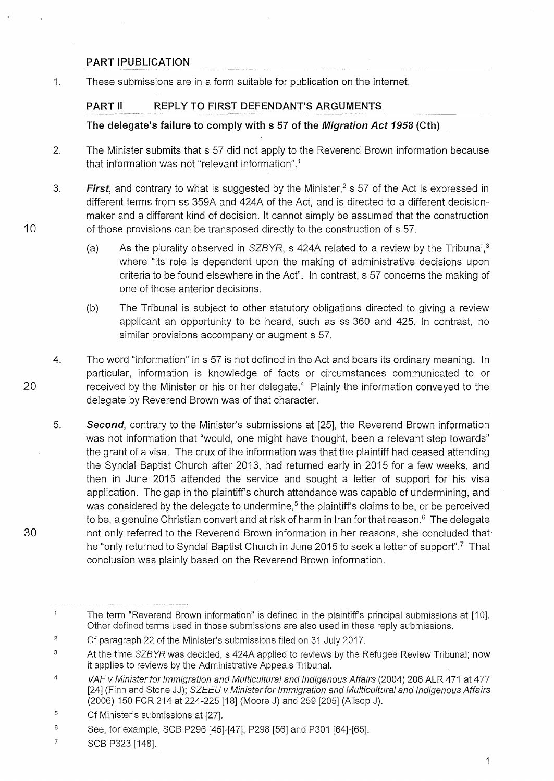# **PART !PUBLICATION**

10

20

30

1. These submissions are in a form suitable for publication on the internet.

# **PART 11 REPLY TO FIRST DEFENDANT'S ARGUMENTS**

# **The delegate's failure to comply with s 57 of the Migration Act 1958 (Cth)**

- 2. The Minister submits that s 57 did not apply to the Reverend Brown information because that information was not "relevant information" . 1
- 3. **First**, and contrary to what is suggested by the Minister,<sup>2</sup> s 57 of the Act is expressed in different terms from ss 359A and 424A of the Act, and is directed to a different decisionmaker and a different kind of decision. lt cannot simply be assumed that the construction of those provisions can be transposed directly to the construction of s 57.
	- (a) As the plurality observed in  $SZBYR$ , s 424A related to a review by the Tribunal.<sup>3</sup> where "its role is dependent upon the making of administrative decisions upon criteria to be found elsewhere in the Act". In contrast, s 57 concerns the making of one of those anterior decisions.
	- (b) The Tribunal is subject to other statutory obligations directed to giving a review applicant an opportunity to be heard, such as ss 360 and 425. In contrast, no similar provisions accompany or augment s 57.
- 4. The word "information" ins 57 is not defined in the Act and bears its ordinary meaning. In particular, information is knowledge of facts or circumstances communicated to or received by the Minister or his or her delegate.<sup>4</sup> Plainly the information conveyed to the delegate by Reverend Brown was of that character.
- 5. **Second,** contrary to the Minister's submissions at [25], the Reverend Brown information was not information that "would, one might have thought, been a relevant step towards" the grant of a visa. The crux of the information was that the plaintiff had ceased attending the Syndal Baptist Church after 2013, had returned early in 2015 for a few weeks, and then in June 2015 attended the service and sought a letter of support for his visa application. The gap in the plaintiff's church attendance was capable of undermining, and was considered by the delegate to undermine,<sup>5</sup> the plaintiff's claims to be, or be perceived to be, a genuine Christian convert and at risk of harm in Iran for that reason.<sup>6</sup> The delegate not only referred to the Reverend Brown information in her reasons, she concluded that he "only returned to Syndal Baptist Church in June 2015 to seek a letter of support".<sup>7</sup> That conclusion was plainly based on the Reverend Brown information.

 $\overline{1}$ The term "Reverend Brown information" is defined in the plaintiff's principal submissions at [1 0]. Other defined terms used in those submissions are also used in these reply submissions.

<sup>2</sup>  Cf paragraph 22 of the Minister's submissions filed on 31 July 2017.

<sup>3</sup>  At the time SZBYR was decided, s 424A applied to reviews by the Refugee Review Tribunal; now it applies to reviews by the Administrative Appeals Tribunal.

<sup>4</sup>  VAF v Minister for Immigration and Multicultural and Indigenous Affairs (2004) 206 ALR 471 at 4 77 [24] (Finn and Stone JJ); SZEEU v Minister for Immigration and Multicultural and Indigenous Affairs (2006) 150 FCR 214 at 224-225 [18] (Moore J) and 259 [205] (AIIsop J).

<sup>5</sup>  Cf Minister's submissions at [27].

<sup>6</sup>  See, for example, SCB P296 [45]-[47], P298 [56] and P301 [64]-[65].

<sup>7</sup>  SCB P323 [148].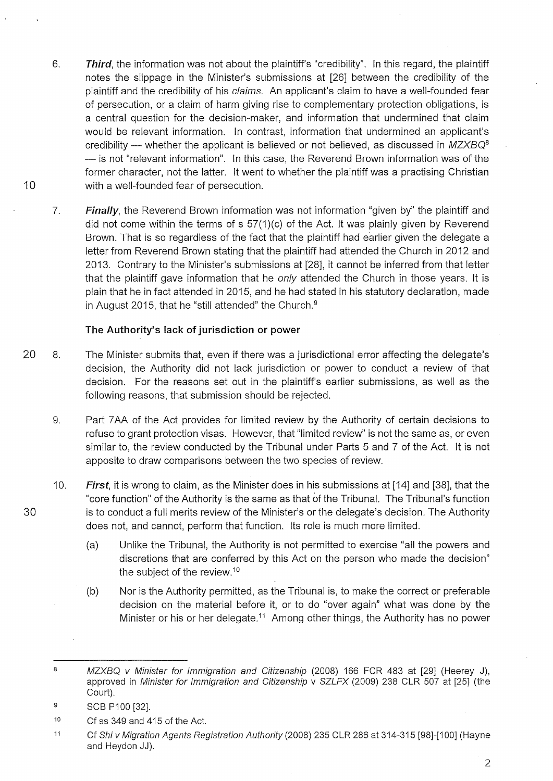- 6. **Third,** the information was not about the plaintiff's "credibility". In this regard, the plaintiff notes the slippage in the Minister's submissions at [26] between the credibility of the plaintiff and the credibility of his claims. An applicant's claim to have a well-founded fear of persecution, or a claim of harm giving rise to complementary protection obligations, is a central question for the decision-maker, and information that undermined that claim would be relevant information. In contrast, information that undermined an applicant's credibility - whether the applicant is believed or not believed, as discussed in MZXBQ<sup>8</sup>  $-$  is not "relevant information". In this case, the Reverend Brown information was of the former character, not the latter. lt went to whether the plaintiff was a practising Christian with a well-founded fear of persecution.
- 7. **Finally,** the Reverend Brown information was not information "given by" the plaintiff and did not come within the terms of  $s$  57(1)(c) of the Act. It was plainly given by Reverend Brown. That is so regardless of the fact that the plaintiff had earlier given the delegate a letter from Reverend Brown stating that the plaintiff had attended the Church in 2012 and 2013. Contrary to the Minister's submissions at [28], it cannot be inferred from that letter that the plaintiff gave information that he *only* attended the Church in those years. It is plain that he in fact attended in 2015, and he had stated in his statutory declaration, made in August 2015, that he "still attended" the Church. <sup>9</sup>

### **The Authority's lack of jurisdiction or power**

- 20 8. The Minister submits that, even if there was a jurisdictional error affecting the delegate's decision, the Authority did not lack jurisdiction or power to conduct a review of that decision. For the reasons set out in the plaintiff's earlier submissions, as well as the following reasons, that submission should be rejected.
	- 9. Part 7 AA of the Act provides for limited review by the Authority of certain decisions to refuse to grant protection visas. However, that "limited review" is not the same as, or even similar to, the review conducted by the Tribunal under Parts 5 and 7 of the Act. lt is not apposite to draw comparisons between the two species of review.
	- 10. **First,** it is wrong to claim, as the Minister does in his submissions at [14] and [38], that the "core function" of the Authority is the same as that of the Tribunal. The Tribunal's function is to conduct a full merits review of the Minister's or the delegate's decision. The Authority does not, and cannot, perform that function. Its role is much more limited.
		- (a) Unlike the Tribunal, the Authority is not permitted to exercise "all the powers and discretions that are conferred by this Act on the person who made the decision" the subject of the review.<sup>10</sup>
		- (b) Nor is the Authority permitted, as the Tribunal is, to make the correct or preferable decision on the material before it, or to do "over again" what was done by the Minister or his or her delegate.<sup>11</sup> Among other things, the Authority has no power

2

<sup>8</sup>  MZXBQ v Minister for Immigration and Citizenship (2008) 166 FCR 483 at [29] (Heerey J), approved in Minister for Immigration and Citizenship v SZLFX (2009) 238 CLR 507 at [25] (the Court).

<sup>9</sup>  SCB P100 [32].

<sup>10</sup>  Cf ss 349 and 415 of the Act.

<sup>11</sup>  Cf Shi v Migration Agents Registration Authority (2008) 235 CLR 286 at 314-315 [98]-[1 00] (Hayne and Heydon JJ).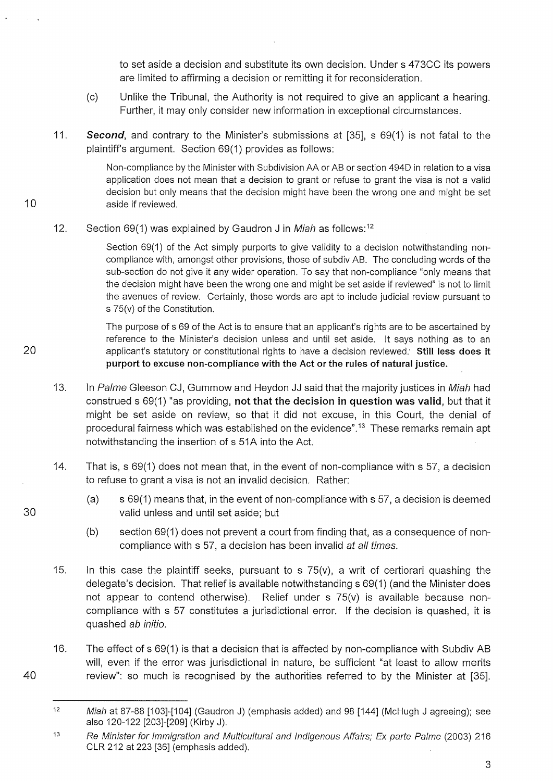to set aside a decision and substitute its own decision. Under s 473CC its powers are limited to affirming a decision or remitting it for reconsideration.

- (c) Unlike the Tribunal, the Authority is not required to give an applicant a hearing. Further, it may only consider new information in exceptional circumstances.
- 11. **Second,** and contrary to the Minister's submissions at [35], s 69(1) is not fatal to the plaintiff's argument. Section 69(1) provides as follows:

Non-compliance by the Minister with Subdivision AA or AB or section 494D in relation to a visa application does not mean that a decision to grant or refuse to grant the visa is not a valid decision but only means that the decision might have been the wrong one and might be set aside if reviewed.

12. Section 69(1) was explained by Gaudron J in Miah as follows:<sup>12</sup>

10

20

30

40

Section 69(1) of the Act simply purports to give validity to a decision notwithstanding noncompliance with, amongst other provisions, those of subdiv AB. The concluding words of the sub-section do not give it any wider operation. To say that non-compliance "only means that the decision might have been the wrong one and might be set aside if reviewed" is not to limit the avenues of review. Certainly, those words are apt to include judicial review pursuant to s 75(v) of the Constitution.

The purpose of s 69 of the Act is to ensure that an applicant's rights are to be ascertained by reference to the Minister's decision unless and until set aside. lt says nothing as to an applicant's statutory or constitutional rights to have a decision reviewed: **Still less does it purport to excuse non-compliance with the Act or the rules of natural justice.** 

- 13. In Palme Gleeson CJ, Gummow and Heydon JJ said that the majority justices in Miah had construed s 69(1) "as providing, **not that the decision in question was valid,** but that it might be set aside on review, so that it did not excuse, in this Court, the denial of procedural fairness which was established on the evidence".<sup>13</sup> These remarks remain apt notwithstanding the insertion of s 51A into the Act.
- 14. That is, s 69(1) does not mean that, in the event of non-compliance with s 57, a decision to refuse to grant a visa is not an invalid decision. Rather:
	- (a) s 69(1) means that, in the event of non-compliance with s 57, a decision is deemed valid unless and until set aside; but
	- (b) section 69(1) does not prevent a court from finding that, as a consequence of noncompliance with s 57, a decision has been invalid at all times.
- 15. In this case the plaintiff seeks, pursuant to s  $75(v)$ , a writ of certiorari quashing the delegate's decision. That relief is available notwithstanding s 69(1) (and the Minister does not appear to contend otherwise). Relief under s 75(v) is available because noncompliance with s 57 constitutes a jurisdictional error. If the decision is quashed, it is quashed ab initio.
- 16. The effect of s 69(1) is that a decision that is affected by non-compliance with Subdiv AB will, even if the error was jurisdictional in nature, be sufficient "at least to allow merits review": so much is recognised by the authorities referred to by the Minister at [35].

<sup>12</sup>  Miah at 87-88 [103]-[104] (Gaudron J) (emphasis added) and 98 [144] (McHugh J agreeing); see also 120-122 [203]-[209] (Kirby J).

<sup>13</sup>  Re Minister for Immigration and Multicultural and Indigenous Affairs; Ex parte Palme (2003) 216 CLR 212 at 223 [36] (emphasis added).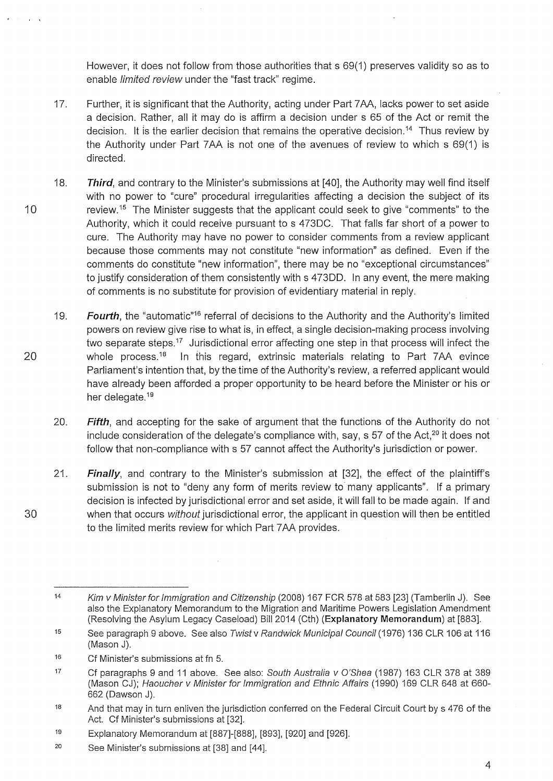However, it does not follow from those authorities that s 69(1) preserves validity so as to enable limited review under the "fast track" regime.

- 17. Further, it is significant that the Authority, acting under Part 7 AA, lacks power to set aside a decision. Rather, all it may do is affirm a decision under s 65 of the Act or remit the decision. It is the earlier decision that remains the operative decision.<sup>14</sup> Thus review by the Authority under Part 7 AA is not one of the avenues of review to which s 69(1) is directed.
- 18. **Third,** and contrary to the Minister's submissions at [40], the Authority may well find itself with no power to "cure" procedural irregularities affecting a decision the subject of its review.<sup>15</sup> The Minister suggests that the applicant could seek to give "comments" to the Authority, which it could receive pursuant to s 4730C. That falls far short of a power to cure. The Authority may have no power to consider comments from a review applicant because those comments may not constitute "new information" as defined. Even if the comments do constitute "new information", there may be no "exceptional circumstances" to justify consideration of them consistently with s 47300. In any event, the mere making of comments is no substitute for provision of evidentiary material in reply.
	- 19. Fourth, the "automatic"<sup>16</sup> referral of decisions to the Authority and the Authority's limited powers on review give rise to what is, in effect, a single decision-making process involving two separate steps.<sup>17</sup> Jurisdictional error affecting one step in that process will infect the whole process.<sup>18</sup> In this regard, extrinsic materials relating to Part 7AA evince Parliament's intention that, by the time of the Authority's review, a referred applicant would have already been afforded a proper opportunity to be heard before the Minister or his or her delegate.<sup>19</sup>
	- 20. **Fifth,** and accepting for the sake of argument that the functions of the Authority do not include consideration of the delegate's compliance with, say,  $s$  57 of the Act,<sup>20</sup> it does not follow that non-compliance with s 57 cannot affect the Authority's jurisdiction or power.
	- 21. **Finally,** and contrary to the Minister's submission at [32], the effect of the plaintiff's submission is not to "deny any form of merits review to many applicants". If a primary decision is infected by jurisdictional error and set aside, it will fall to be made again. If and when that occurs *without* jurisdictional error, the applicant in question will then be entitled to the limited merits review for which Part 7 AA provides.

10

20

<sup>14</sup>  Kim v Minister for Immigration and Citizenship (2008) 167 FCR 578 at 583 [23] (Tamberlin J). See also the Explanatory Memorandum to the Migration and Maritime Powers Legislation Amendment (Resolving the Asylum Legacy Caseload) Bill2014 (Cth) **(Explanatory Memorandum)** at [883].

<sup>15</sup>  See paragraph 9 above. See also Twist v Randwick Municipal Council (1976) 136 CLR 106 at 116 (Mason J).

<sup>16</sup>  Cf Minister's submissions at fn 5.

<sup>17</sup>  Cf paragraphs 9 and 11 above. See also: South Australia v O'Shea (1987) 163 CLR 378 at 389 (Mason CJ); Haoucher v Minister for Immigration and Ethnic Affairs (1990) 169 CLR 648 at 660- 662 (Dawson J).

<sup>18</sup>  And that may in turn enliven the jurisdiction conferred on the Federal Circuit Court by s 476 of the Act. Cf Minister's submissions at [32].

<sup>19</sup>  Explanatory Memorandum at [887]-[888], [893], [920] and [926].

<sup>20</sup>  See Minister's submissions at [38] and [44].